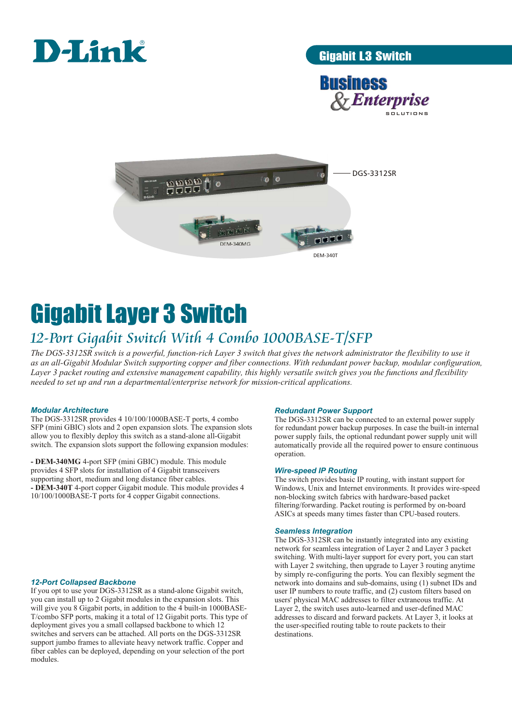

## Gigabit L3 Switch





# Gigabit Layer 3 Switch

## *12-Port Gigabit Switch With 4 Combo 1000BASE-T/SFP*

*The DGS-3312SR switch is a powerful, function-rich Layer 3 switch that gives the network administrator the flexibility to use it as an all-Gigabit Modular Switch supporting copper and fiber connections. With redundant power backup, modular configuration, Layer 3 packet routing and extensive management capability, this highly versatile switch gives you the functions and flexibility needed to set up and run a departmental/enterprise network for mission-critical applications.*

## *Modular Architecture*

The DGS-3312SR provides 4 10/100/1000BASE-T ports, 4 combo SFP (mini GBIC) slots and 2 open expansion slots. The expansion slots allow you to flexibly deploy this switch as a stand-alone all-Gigabit switch. The expansion slots support the following expansion modules:

**- DEM-340MG** 4-port SFP (mini GBIC) module. This module provides 4 SFP slots for installation of 4 Gigabit transceivers supporting short, medium and long distance fiber cables. **- DEM-340T** 4-port copper Gigabit module. This module provides 4 10/100/1000BASE-T ports for 4 copper Gigabit connections.

## *12-Port Collapsed Backbone*

If you opt to use your DGS-3312SR as a stand-alone Gigabit switch, you can install up to 2 Gigabit modules in the expansion slots. This will give you 8 Gigabit ports, in addition to the 4 built-in 1000BASE-T/combo SFP ports, making it a total of 12 Gigabit ports. This type of deployment gives you a small collapsed backbone to which 12 switches and servers can be attached. All ports on the DGS-3312SR support jumbo frames to alleviate heavy network traffic. Copper and fiber cables can be deployed, depending on your selection of the port modules.

## *Redundant Power Support*

The DGS-3312SR can be connected to an external power supply for redundant power backup purposes. In case the built-in internal power supply fails, the optional redundant power supply unit will automatically provide all the required power to ensure continuous operation.

## *Wire-speed IP Routing*

The switch provides basic IP routing, with instant support for Windows, Unix and Internet environments. It provides wire-speed non-blocking switch fabrics with hardware-based packet filtering/forwarding. Packet routing is performed by on-board ASICs at speeds many times faster than CPU-based routers.

## *Seamless Integration*

The DGS-3312SR can be instantly integrated into any existing network for seamless integration of Layer 2 and Layer 3 packet switching. With multi-layer support for every port, you can start with Layer 2 switching, then upgrade to Layer 3 routing anytime by simply re-configuring the ports. You can flexibly segment the network into domains and sub-domains, using (1) subnet IDs and user IP numbers to route traffic, and (2) custom filters based on users' physical MAC addresses to filter extraneous traffic. At Layer 2, the switch uses auto-learned and user-defined MAC addresses to discard and forward packets. At Layer 3, it looks at the user-specified routing table to route packets to their destinations.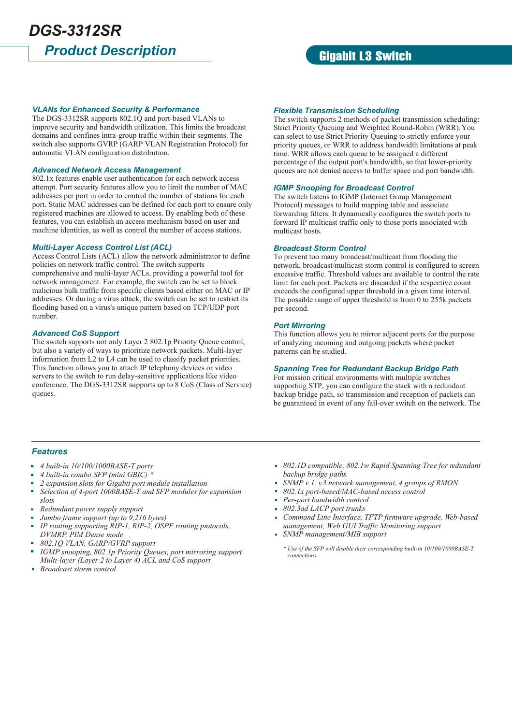## *Product Description DGS-3312SR*

## Gigabit L3 Switch

## *VLANs for Enhanced Security & Performance*

The DGS-3312SR supports 802.1Q and port-based VLANs to improve security and bandwidth utilization. This limits the broadcast domains and confines intra-group traffic within their segments. The switch also supports GVRP (GARP VLAN Registration Protocol) for automatic VLAN configuration distribution.

## *Advanced Network Access Management*

802.1x features enable user authentication for each network access attempt. Port security features allow you to limit the number of MAC addresses per port in order to control the number of stations for each port. Static MAC addresses can be defined for each port to ensure only registered machines are allowed to access. By enabling both of these features, you can establish an access mechanism based on user and machine identities, as well as control the number of access stations.

## *Multi-Layer Access Control List (ACL)*

Access Control Lists (ACL) allow the network administrator to define policies on network traffic control. The switch supports comprehensive and multi-layer ACLs, providing a powerful tool for network management. For example, the switch can be set to block malicious bulk traffic from specific clients based either on MAC or IP addresses. Or during a virus attack, the switch can be set to restrict its flooding based on a virus's unique pattern based on TCP/UDP port number.

## *Advanced CoS Support*

The switch supports not only Layer 2 802.1p Priority Queue control, but also a variety of ways to prioritize network packets. Multi-layer information from L2 to L4 can be used to classify packet priorities. This function allows you to attach IP telephony devices or video servers to the switch to run delay-sensitive applications like video conference. The DGS-3312SR supports up to 8 CoS (Class of Service) queues.

## *Flexible Transmission Scheduling*

The switch supports 2 methods of packet transmission scheduling: Strict Priority Queuing and Weighted Round-Robin (WRR). You can select to use Strict Priority Queuing to strictly enforce your priority queues, or WRR to address bandwidth limitations at peak time. WRR allows each queue to be assigned a different percentage of the output port's bandwidth, so that lower-priority queues are not denied access to buffer space and port bandwidth.

## *IGMP Snooping for Broadcast Control*

The switch listens to IGMP (Internet Group Management Protocol) messages to build mapping table and associate forwarding filters. It dynamically configures the switch ports to forward IP multicast traffic only to those ports associated with multicast hosts.

## *Broadcast Storm Control*

To prevent too many broadcast/multicast from flooding the network, broadcast/multicast storm control is configured to screen excessive traffic. Threshold values are available to control the rate limit for each port. Packets are discarded if the respective count exceeds the configured upper threshold in a given time interval. The possible range of upper threshold is from 0 to 255k packets per second.

## *Port Mirroring*

This function allows you to mirror adjacent ports for the purpose of analyzing incoming and outgoing packets where packet patterns can be studied.

## *Spanning Tree for Redundant Backup Bridge Path*

For mission critical environments with multiple switches supporting STP, you can configure the stack with a redundant backup bridge path, so transmission and reception of packets can be guaranteed in event of any fail-over switch on the network. The

## *Features*

- $\blacksquare$ *4 built-in 10/100/1000BASE-T ports*
- *4 built-in combo SFP (mini GBIC) \**
- *2 expansion slots for Gigabit port module installation*
- *Selection of 4-port 1000BASE-T and SFP modules for expansion*  m. *slots*
- $\blacksquare$ *Redundant power supply support*
- *Jumbo frame support (up to 9,216 bytes)*
- $\mathbf{r}$ *IP routing supporting RIP-1, RIP-2, OSPF routing protocols, DVMRP, PIM Dense mode*
- *802.1Q VLAN, GARP/GVRP support*
- *IGMP snooping, 802.1p Priority Queues, port mirroring support Multi-layer (Layer 2 to Layer 4) ACL and CoS support*
- *Broadcast storm control*
- *802.1D compatible, 802.1w Rapid Spanning Tree for redundant backup bridge paths*
- *SNMP v.1, v.3 network management, 4 groups of RMON*
- *802.1x port-based/MAC-based access control*
- *Per-port bandwidth control*
- *802.3ad LACP port trunks* m.
- *Command Line Interface, TFTP firmware upgrade, Web-based management, Web GUI Traffic Monitoring support*
- *SNMP management/MIB support*

*<sup>\*</sup> Use of the SFP will disable their corresponding built-in 10/100/1000BASE-T connections.*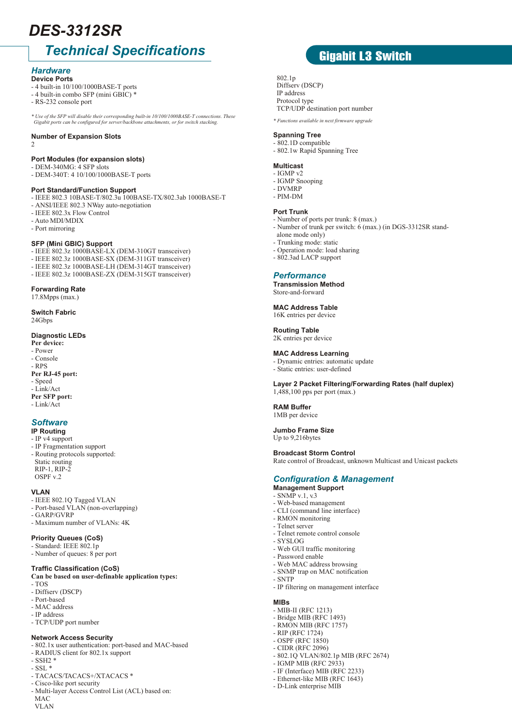## *DES-3312SR*

## *Technical Specifications*

#### *Hardware* **Device Ports**

- 4 built-in 10/100/1000BASE-T ports
- 4 built-in combo SFP (mini GBIC) \*
- RS-232 console port

*\* Use of the SFP will disable their corresponding built-in 10/100/1000BASE-T connections. These Gigabit ports can be configured for server/backbone attachments, or for switch stacking.* 

## **Number of Expansion Slots**

2

## **Port Modules (for expansion slots)**

- DEM-340MG: 4 SFP slots - DEM-340T: 4 10/100/1000BASE-T ports

## **Port Standard/Function Support**

- IEEE 802.3 10BASE-T/802.3u 100BASE-TX/802.3ab 1000BASE-T
- ANSI/IEEE 802.3 NWay auto-negotiation
- IEEE 802.3x Flow Control
- Auto MDI/MDIX
- Port mirroring

### **SFP (Mini GBIC) Support**

- IEEE 802.3z 1000BASE-LX (DEM-310GT transceiver)
- IEEE 802.3z 1000BASE-SX (DEM-311GT transceiver)
- IEEE 802.3z 1000BASE-LH (DEM-314GT transceiver)
- IEEE 802.3z 1000BASE-ZX (DEM-315GT transceiver)

## **Forwarding Rate**

#### 17.8Mpps (max.)

## **Switch Fabric**

24Gbps

## **Diagnostic LEDs**

- **Per device:**
- Power
- Console - RPS
- **Per RJ-45 port:**
- Speed
- Link/Act
- **Per SFP port:**
- Link/Act

## *Software*

## **IP Routing**

- IP v4 support
- IP Fragmentation support - Routing protocols supported: Static routing RIP-1, RIP-2 OSPF v.2

## **VLAN**

- IEEE 802.1Q Tagged VLAN
- Port-based VLAN (non-overlapping)
- GARP/GVRP
- Maximum number of VLANs: 4K

## **Priority Queues (CoS)**

- Standard: IEEE 802.1p
- Number of queues: 8 per port

#### **Traffic Classification (CoS)**

## **Can be based on user-definable application types:**

- TOS
- Diffserv (DSCP)
- Port-based
- MAC address
- IP address
- TCP/UDP port number

## **Network Access Security**

- 802.1x user authentication: port-based and MAC-based
- RADIUS client for 802.1x support
- SSH2 \*
- $\text{SSL}$   $^*$
- TACACS/TACACS+/XTACACS \*
- Cisco-like port security
- Multi-layer Access Control List (ACL) based on: MAC VLAN

## Gigabit L3 Switch

## 802.1p

Diffserv (DSCP) IP address Protocol type TCP/UDP destination port number

*\* Functions available in next firmware upgrade* 

## **Spanning Tree**

- 802.1D compatible
- 802.1w Rapid Spanning Tree

## **Multicast**

- IGMP v2 - IGMP Snooping
- DVMRP
- PIM-DM

### **Port Trunk**

- Number of ports per trunk: 8 (max.)
- Number of trunk per switch: 6 (max.) (in DGS-3312SR stand alone mode only)
- Trunking mode: static
- Operation mode: load sharing
- 802.3ad LACP support

## *Performance*

**Transmission Method** Store-and-forward

## **MAC Address Table**

16K entries per device

**Routing Table** 2K entries per device

### **MAC Address Learning**

- Dynamic entries: automatic update
- Static entries: user-defined

**Layer 2 Packet Filtering/Forwarding Rates (half duplex)** 1,488,100 pps per port (max.)

#### **RAM Buffer** 1MB per device

**Jumbo Frame Size** Up to 9,216bytes

**Broadcast Storm Control** Rate control of Broadcast, unknown Multicast and Unicast packets

## *Configuration & Management*

- **Management Support**
- SNMP v.1, v.3
- Web-based management
- CLI (command line interface)

- Web GUI traffic monitoring

- Web MAC address browsing - SNMP trap on MAC notification

- IP filtering on management interface

- 802.1Q VLAN/802.1p MIB (RFC 2674)

- RMON monitoring

- Password enable

- MIB-II (RFC 1213) - Bridge MIB (RFC 1493) - RMON MIB (RFC 1757) - RIP (RFC 1724) - OSPF (RFC 1850) - CIDR (RFC 2096)

- IGMP MIB (RFC 2933) - IF (Interface) MIB (RFC 2233) - Ethernet-like MIB (RFC 1643) - D-Link enterprise MIB

- SYSLOG

- SNTP

**MIBs**

- Telnet server - Telnet remote control console